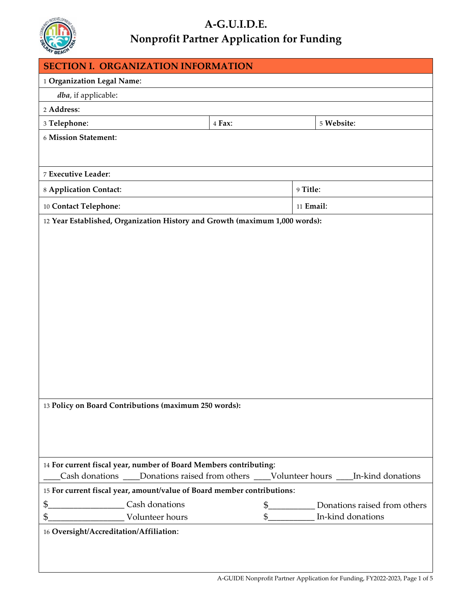

## **A-G.U.I.D.E. Nonprofit Partner Application for Funding**

| <b>SECTION I. ORGANIZATION INFORMATION</b>                                                |        |                                  |  |
|-------------------------------------------------------------------------------------------|--------|----------------------------------|--|
| 1 Organization Legal Name:                                                                |        |                                  |  |
| dba, if applicable:                                                                       |        |                                  |  |
| 2 Address:                                                                                |        |                                  |  |
| 3 Telephone:                                                                              | 4 Fax: | 5 Website:                       |  |
| 6 Mission Statement:                                                                      |        |                                  |  |
|                                                                                           |        |                                  |  |
|                                                                                           |        |                                  |  |
| 7 Executive Leader:                                                                       |        |                                  |  |
| 8 Application Contact:                                                                    |        | 9 Title:                         |  |
| 10 Contact Telephone:                                                                     |        | 11 Email:                        |  |
| 12 Year Established, Organization History and Growth (maximum 1,000 words):               |        |                                  |  |
|                                                                                           |        |                                  |  |
|                                                                                           |        |                                  |  |
|                                                                                           |        |                                  |  |
|                                                                                           |        |                                  |  |
|                                                                                           |        |                                  |  |
|                                                                                           |        |                                  |  |
|                                                                                           |        |                                  |  |
|                                                                                           |        |                                  |  |
|                                                                                           |        |                                  |  |
|                                                                                           |        |                                  |  |
|                                                                                           |        |                                  |  |
|                                                                                           |        |                                  |  |
| 13 Policy on Board Contributions (maximum 250 words):                                     |        |                                  |  |
|                                                                                           |        |                                  |  |
|                                                                                           |        |                                  |  |
|                                                                                           |        |                                  |  |
|                                                                                           |        |                                  |  |
| 14 For current fiscal year, number of Board Members contributing:                         |        |                                  |  |
| Cash donations ____Donations raised from others ____Volunteer hours ____In-kind donations |        |                                  |  |
| 15 For current fiscal year, amount/value of Board member contributions:                   |        |                                  |  |
| \$____________________________Cash donations                                              |        | \$ Donations raised from others  |  |
|                                                                                           |        | \$____________ In-kind donations |  |
| 16 Oversight/Accreditation/Affiliation:                                                   |        |                                  |  |
|                                                                                           |        |                                  |  |
|                                                                                           |        |                                  |  |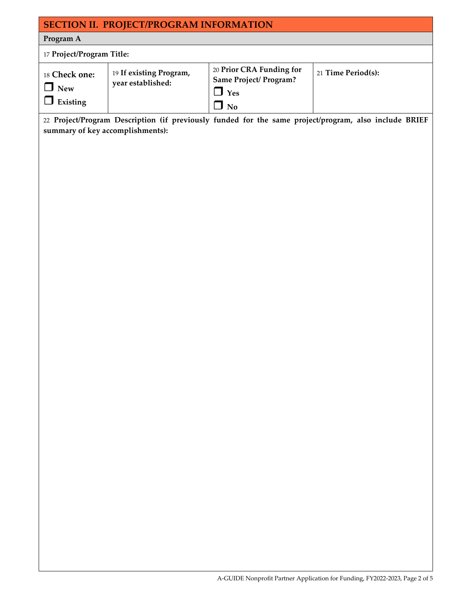## **SECTION II. PROJECT/PROGRAM INFORMATION**

## **Program A**

| 17 Project/Program Title:               |                                              |                                                                                              |                    |
|-----------------------------------------|----------------------------------------------|----------------------------------------------------------------------------------------------|--------------------|
| 18 Check one:<br><b>New</b><br>Existing | 19 If existing Program,<br>year established: | 20 Prior CRA Funding for<br><b>Same Project/ Program?</b><br>$\Box$ Yes<br>$\blacksquare$ No | 21 Time Period(s): |

22 **Project/Program Description (if previously funded for the same project/program, also include BRIEF summary of key accomplishments):**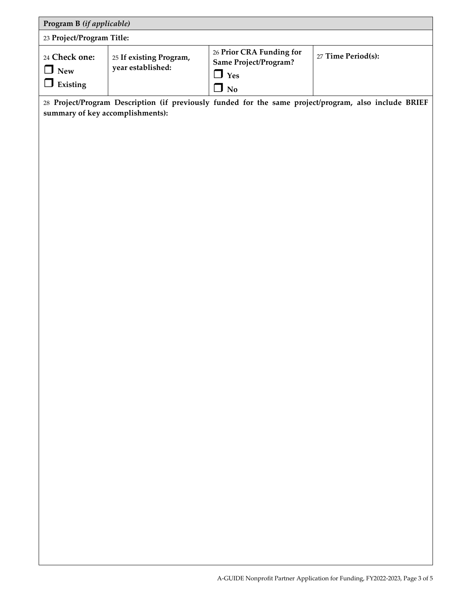| Program B (if applicable)               |                                              |                                                                               |                    |
|-----------------------------------------|----------------------------------------------|-------------------------------------------------------------------------------|--------------------|
| 23 Project/Program Title:               |                                              |                                                                               |                    |
| 24 Check one:<br><b>New</b><br>Existing | 25 If existing Program,<br>year established: | 26 Prior CRA Funding for<br><b>Same Project/Program?</b><br>$\Box$ Yes<br>No. | 27 Time Period(s): |

28 **Project/Program Description (if previously funded for the same project/program, also include BRIEF summary of key accomplishments):**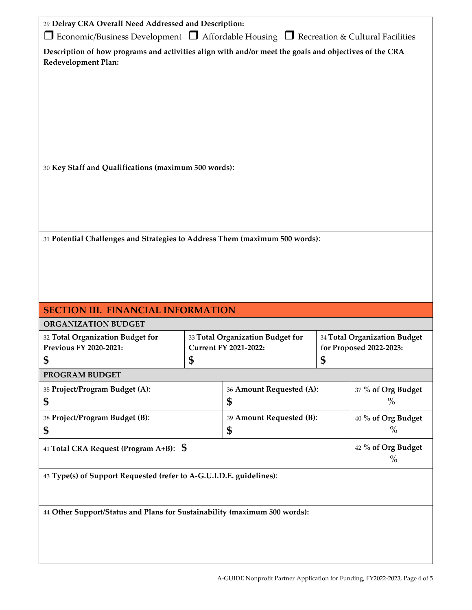| 29 Delray CRA Overall Need Addressed and Description:                                                                        |                                  |                          |                              |                    |  |
|------------------------------------------------------------------------------------------------------------------------------|----------------------------------|--------------------------|------------------------------|--------------------|--|
| $\Box$ Economic/Business Development $\Box$ Affordable Housing $\Box$ Recreation & Cultural Facilities                       |                                  |                          |                              |                    |  |
| Description of how programs and activities align with and/or meet the goals and objectives of the CRA<br>Redevelopment Plan: |                                  |                          |                              |                    |  |
|                                                                                                                              |                                  |                          |                              |                    |  |
|                                                                                                                              |                                  |                          |                              |                    |  |
|                                                                                                                              |                                  |                          |                              |                    |  |
|                                                                                                                              |                                  |                          |                              |                    |  |
|                                                                                                                              |                                  |                          |                              |                    |  |
|                                                                                                                              |                                  |                          |                              |                    |  |
|                                                                                                                              |                                  |                          |                              |                    |  |
| 30 Key Staff and Qualifications (maximum 500 words):                                                                         |                                  |                          |                              |                    |  |
|                                                                                                                              |                                  |                          |                              |                    |  |
|                                                                                                                              |                                  |                          |                              |                    |  |
|                                                                                                                              |                                  |                          |                              |                    |  |
|                                                                                                                              |                                  |                          |                              |                    |  |
| 31 Potential Challenges and Strategies to Address Them (maximum 500 words):                                                  |                                  |                          |                              |                    |  |
|                                                                                                                              |                                  |                          |                              |                    |  |
|                                                                                                                              |                                  |                          |                              |                    |  |
|                                                                                                                              |                                  |                          |                              |                    |  |
|                                                                                                                              |                                  |                          |                              |                    |  |
| <b>SECTION III. FINANCIAL INFORMATION</b>                                                                                    |                                  |                          |                              |                    |  |
| <b>ORGANIZATION BUDGET</b>                                                                                                   |                                  |                          |                              |                    |  |
| 32 Total Organization Budget for                                                                                             | 33 Total Organization Budget for |                          | 34 Total Organization Budget |                    |  |
| <b>Previous FY 2020-2021:</b>                                                                                                | <b>Current FY 2021-2022:</b>     |                          | for Proposed 2022-2023:      |                    |  |
| Φ                                                                                                                            | ⊅                                |                          | Φ                            |                    |  |
| PROGRAM BUDGET                                                                                                               |                                  |                          |                              |                    |  |
| 35 Project/Program Budget (A):                                                                                               |                                  | 36 Amount Requested (A): |                              | 37 % of Org Budget |  |
| \$                                                                                                                           |                                  | \$                       |                              | $\%$               |  |
| 38 Project/Program Budget (B):                                                                                               |                                  | 39 Amount Requested (B): |                              | 40 % of Org Budget |  |
| \$<br>\$                                                                                                                     |                                  |                          |                              | $\%$               |  |
| 41 Total CRA Request (Program A+B): $\,$ \$                                                                                  |                                  |                          | 42 % of Org Budget<br>$\%$   |                    |  |
| 43 Type(s) of Support Requested (refer to A-G.U.I.D.E. guidelines):                                                          |                                  |                          |                              |                    |  |

44 **Other Support/Status and Plans for Sustainability (maximum 500 words):**